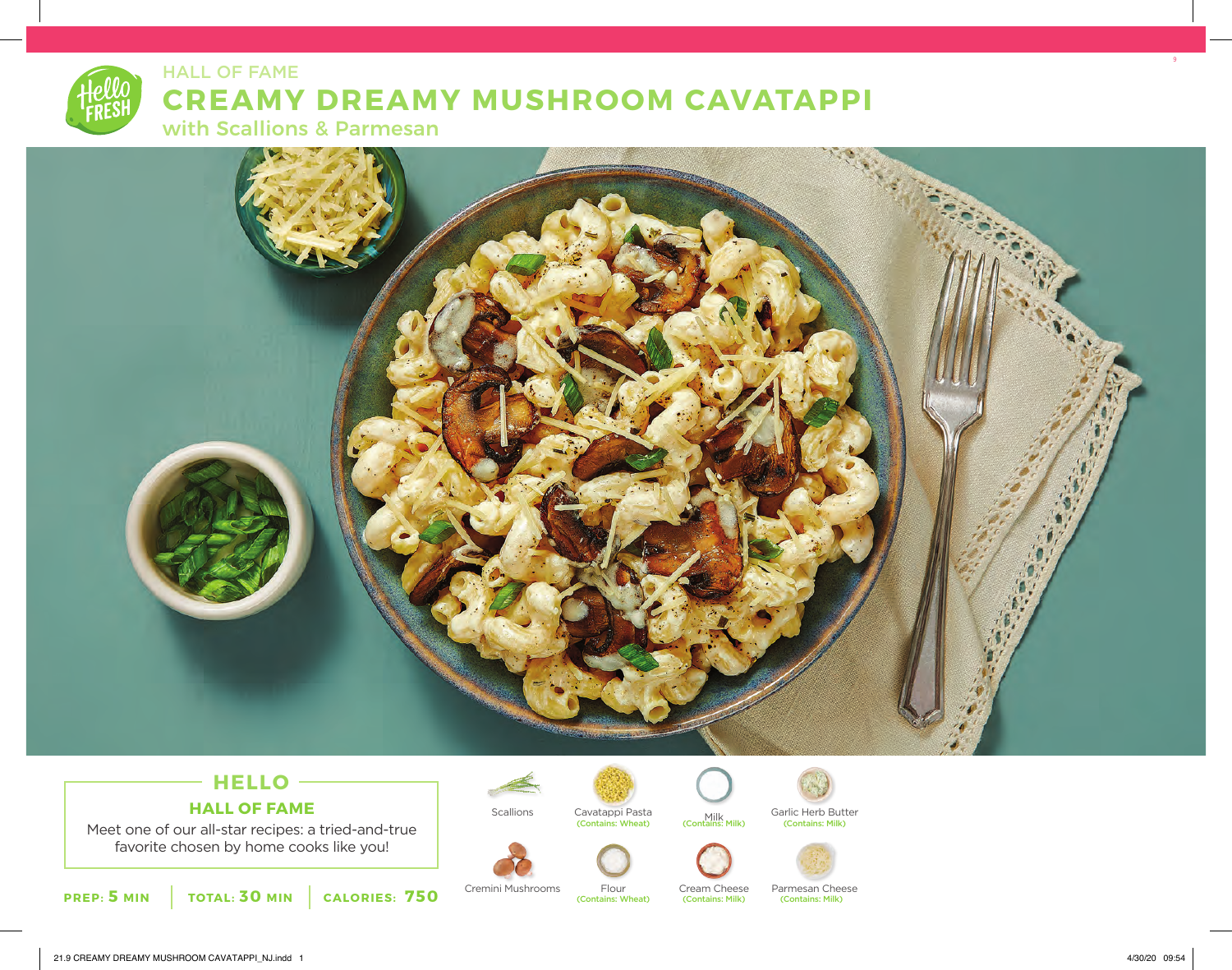# HALL OF FAME **CREAMY DREAMY MUSHROOM CAVATAPPI** with Scallions & Parmesan

## **HELLO HALL OF FAME**

Meet one of our all-star recipes: a tried-and-true favorite chosen by home cooks like you!







(Contains: Wheat)



Scallions Cavatappi Pasta Milk Garlic Herb Butter<br>(Contains: Wheat) (Contains: Milk) (Contains: Milk)





Cremini Mushrooms Flour Cream Cheese Parmesan Cheese<br>
(Contains: Milk) (Contains: Milk) (Contains: Milk)

(Contains: Milk)

9